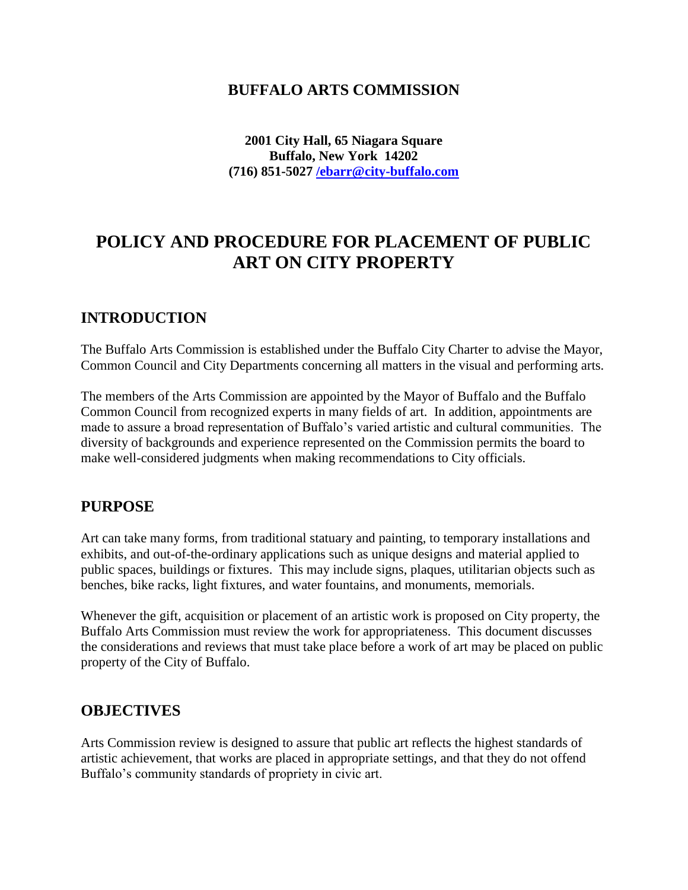## **BUFFALO ARTS COMMISSION**

**2001 City Hall, 65 Niagara Square Buffalo, New York 14202 (716) 851-5027 [/ebarr@city-buffalo.com](mailto:/ebarr@city-buffalo.com)**

# **POLICY AND PROCEDURE FOR PLACEMENT OF PUBLIC ART ON CITY PROPERTY**

## **INTRODUCTION**

The Buffalo Arts Commission is established under the Buffalo City Charter to advise the Mayor, Common Council and City Departments concerning all matters in the visual and performing arts.

The members of the Arts Commission are appointed by the Mayor of Buffalo and the Buffalo Common Council from recognized experts in many fields of art. In addition, appointments are made to assure a broad representation of Buffalo's varied artistic and cultural communities. The diversity of backgrounds and experience represented on the Commission permits the board to make well-considered judgments when making recommendations to City officials.

## **PURPOSE**

Art can take many forms, from traditional statuary and painting, to temporary installations and exhibits, and out-of-the-ordinary applications such as unique designs and material applied to public spaces, buildings or fixtures. This may include signs, plaques, utilitarian objects such as benches, bike racks, light fixtures, and water fountains, and monuments, memorials.

Whenever the gift, acquisition or placement of an artistic work is proposed on City property, the Buffalo Arts Commission must review the work for appropriateness. This document discusses the considerations and reviews that must take place before a work of art may be placed on public property of the City of Buffalo.

### **OBJECTIVES**

Arts Commission review is designed to assure that public art reflects the highest standards of artistic achievement, that works are placed in appropriate settings, and that they do not offend Buffalo's community standards of propriety in civic art.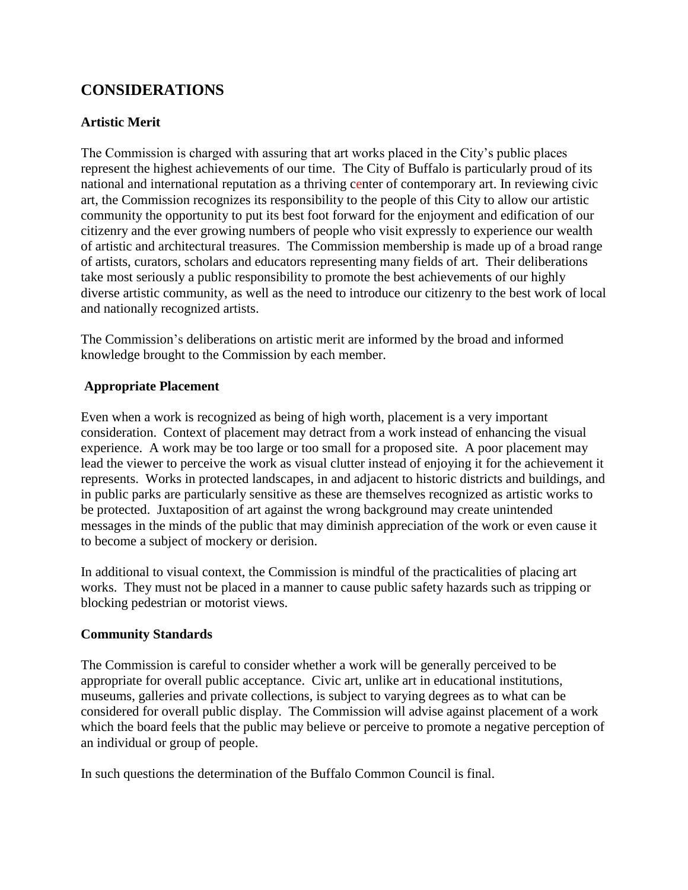## **CONSIDERATIONS**

### **Artistic Merit**

The Commission is charged with assuring that art works placed in the City's public places represent the highest achievements of our time. The City of Buffalo is particularly proud of its national and international reputation as a thriving center of contemporary art. In reviewing civic art, the Commission recognizes its responsibility to the people of this City to allow our artistic community the opportunity to put its best foot forward for the enjoyment and edification of our citizenry and the ever growing numbers of people who visit expressly to experience our wealth of artistic and architectural treasures. The Commission membership is made up of a broad range of artists, curators, scholars and educators representing many fields of art. Their deliberations take most seriously a public responsibility to promote the best achievements of our highly diverse artistic community, as well as the need to introduce our citizenry to the best work of local and nationally recognized artists.

The Commission's deliberations on artistic merit are informed by the broad and informed knowledge brought to the Commission by each member.

#### **Appropriate Placement**

Even when a work is recognized as being of high worth, placement is a very important consideration. Context of placement may detract from a work instead of enhancing the visual experience. A work may be too large or too small for a proposed site. A poor placement may lead the viewer to perceive the work as visual clutter instead of enjoying it for the achievement it represents. Works in protected landscapes, in and adjacent to historic districts and buildings, and in public parks are particularly sensitive as these are themselves recognized as artistic works to be protected. Juxtaposition of art against the wrong background may create unintended messages in the minds of the public that may diminish appreciation of the work or even cause it to become a subject of mockery or derision.

In additional to visual context, the Commission is mindful of the practicalities of placing art works. They must not be placed in a manner to cause public safety hazards such as tripping or blocking pedestrian or motorist views.

### **Community Standards**

The Commission is careful to consider whether a work will be generally perceived to be appropriate for overall public acceptance. Civic art, unlike art in educational institutions, museums, galleries and private collections, is subject to varying degrees as to what can be considered for overall public display. The Commission will advise against placement of a work which the board feels that the public may believe or perceive to promote a negative perception of an individual or group of people.

In such questions the determination of the Buffalo Common Council is final.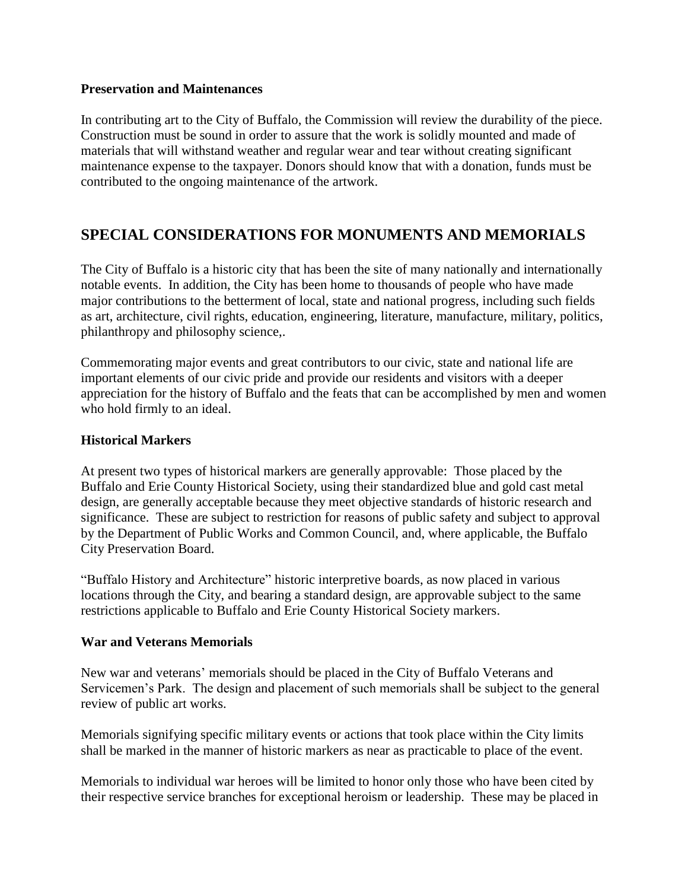#### **Preservation and Maintenances**

In contributing art to the City of Buffalo, the Commission will review the durability of the piece. Construction must be sound in order to assure that the work is solidly mounted and made of materials that will withstand weather and regular wear and tear without creating significant maintenance expense to the taxpayer. Donors should know that with a donation, funds must be contributed to the ongoing maintenance of the artwork.

## **SPECIAL CONSIDERATIONS FOR MONUMENTS AND MEMORIALS**

The City of Buffalo is a historic city that has been the site of many nationally and internationally notable events. In addition, the City has been home to thousands of people who have made major contributions to the betterment of local, state and national progress, including such fields as art, architecture, civil rights, education, engineering, literature, manufacture, military, politics, philanthropy and philosophy science,.

Commemorating major events and great contributors to our civic, state and national life are important elements of our civic pride and provide our residents and visitors with a deeper appreciation for the history of Buffalo and the feats that can be accomplished by men and women who hold firmly to an ideal.

#### **Historical Markers**

At present two types of historical markers are generally approvable: Those placed by the Buffalo and Erie County Historical Society, using their standardized blue and gold cast metal design, are generally acceptable because they meet objective standards of historic research and significance. These are subject to restriction for reasons of public safety and subject to approval by the Department of Public Works and Common Council, and, where applicable, the Buffalo City Preservation Board.

"Buffalo History and Architecture" historic interpretive boards, as now placed in various locations through the City, and bearing a standard design, are approvable subject to the same restrictions applicable to Buffalo and Erie County Historical Society markers.

#### **War and Veterans Memorials**

New war and veterans' memorials should be placed in the City of Buffalo Veterans and Servicemen's Park. The design and placement of such memorials shall be subject to the general review of public art works.

Memorials signifying specific military events or actions that took place within the City limits shall be marked in the manner of historic markers as near as practicable to place of the event.

Memorials to individual war heroes will be limited to honor only those who have been cited by their respective service branches for exceptional heroism or leadership. These may be placed in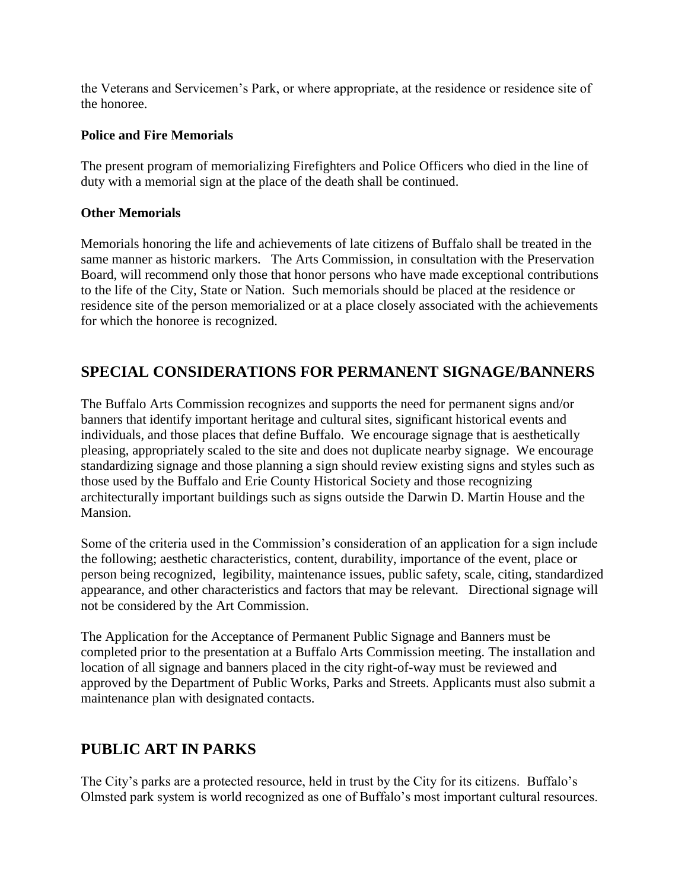the Veterans and Servicemen's Park, or where appropriate, at the residence or residence site of the honoree.

## **Police and Fire Memorials**

The present program of memorializing Firefighters and Police Officers who died in the line of duty with a memorial sign at the place of the death shall be continued.

### **Other Memorials**

Memorials honoring the life and achievements of late citizens of Buffalo shall be treated in the same manner as historic markers. The Arts Commission, in consultation with the Preservation Board, will recommend only those that honor persons who have made exceptional contributions to the life of the City, State or Nation. Such memorials should be placed at the residence or residence site of the person memorialized or at a place closely associated with the achievements for which the honoree is recognized.

## **SPECIAL CONSIDERATIONS FOR PERMANENT SIGNAGE/BANNERS**

The Buffalo Arts Commission recognizes and supports the need for permanent signs and/or banners that identify important heritage and cultural sites, significant historical events and individuals, and those places that define Buffalo. We encourage signage that is aesthetically pleasing, appropriately scaled to the site and does not duplicate nearby signage. We encourage standardizing signage and those planning a sign should review existing signs and styles such as those used by the Buffalo and Erie County Historical Society and those recognizing architecturally important buildings such as signs outside the Darwin D. Martin House and the Mansion.

Some of the criteria used in the Commission's consideration of an application for a sign include the following; aesthetic characteristics, content, durability, importance of the event, place or person being recognized, legibility, maintenance issues, public safety, scale, citing, standardized appearance, and other characteristics and factors that may be relevant. Directional signage will not be considered by the Art Commission.

The Application for the Acceptance of Permanent Public Signage and Banners must be completed prior to the presentation at a Buffalo Arts Commission meeting. The installation and location of all signage and banners placed in the city right-of-way must be reviewed and approved by the Department of Public Works, Parks and Streets. Applicants must also submit a maintenance plan with designated contacts.

## **PUBLIC ART IN PARKS**

The City's parks are a protected resource, held in trust by the City for its citizens. Buffalo's Olmsted park system is world recognized as one of Buffalo's most important cultural resources.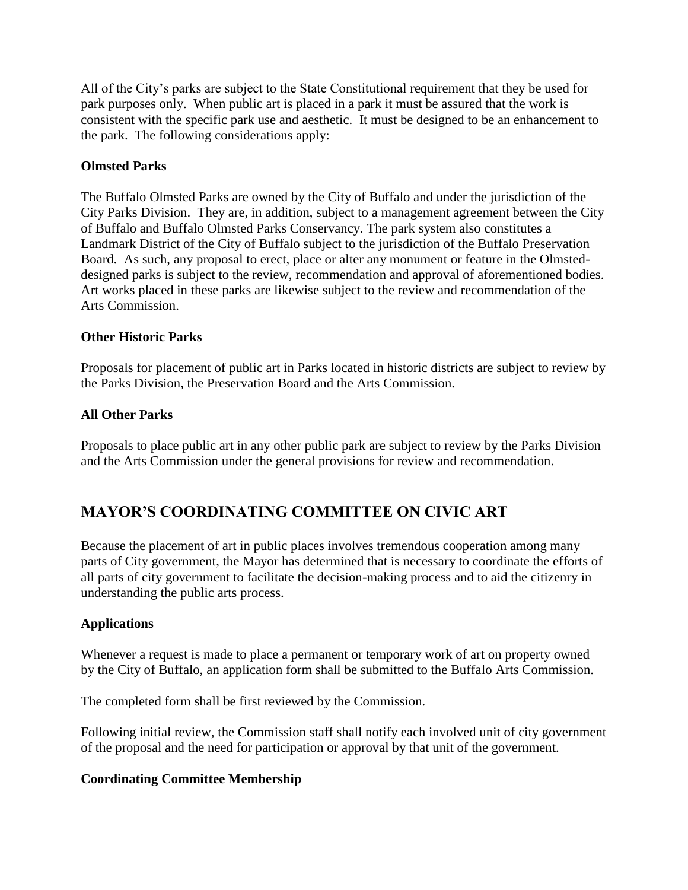All of the City's parks are subject to the State Constitutional requirement that they be used for park purposes only. When public art is placed in a park it must be assured that the work is consistent with the specific park use and aesthetic. It must be designed to be an enhancement to the park. The following considerations apply:

#### **Olmsted Parks**

The Buffalo Olmsted Parks are owned by the City of Buffalo and under the jurisdiction of the City Parks Division. They are, in addition, subject to a management agreement between the City of Buffalo and Buffalo Olmsted Parks Conservancy. The park system also constitutes a Landmark District of the City of Buffalo subject to the jurisdiction of the Buffalo Preservation Board. As such, any proposal to erect, place or alter any monument or feature in the Olmsteddesigned parks is subject to the review, recommendation and approval of aforementioned bodies. Art works placed in these parks are likewise subject to the review and recommendation of the Arts Commission.

#### **Other Historic Parks**

Proposals for placement of public art in Parks located in historic districts are subject to review by the Parks Division, the Preservation Board and the Arts Commission.

#### **All Other Parks**

Proposals to place public art in any other public park are subject to review by the Parks Division and the Arts Commission under the general provisions for review and recommendation.

## **MAYOR'S COORDINATING COMMITTEE ON CIVIC ART**

Because the placement of art in public places involves tremendous cooperation among many parts of City government, the Mayor has determined that is necessary to coordinate the efforts of all parts of city government to facilitate the decision-making process and to aid the citizenry in understanding the public arts process.

#### **Applications**

Whenever a request is made to place a permanent or temporary work of art on property owned by the City of Buffalo, an application form shall be submitted to the Buffalo Arts Commission.

The completed form shall be first reviewed by the Commission.

Following initial review, the Commission staff shall notify each involved unit of city government of the proposal and the need for participation or approval by that unit of the government.

#### **Coordinating Committee Membership**